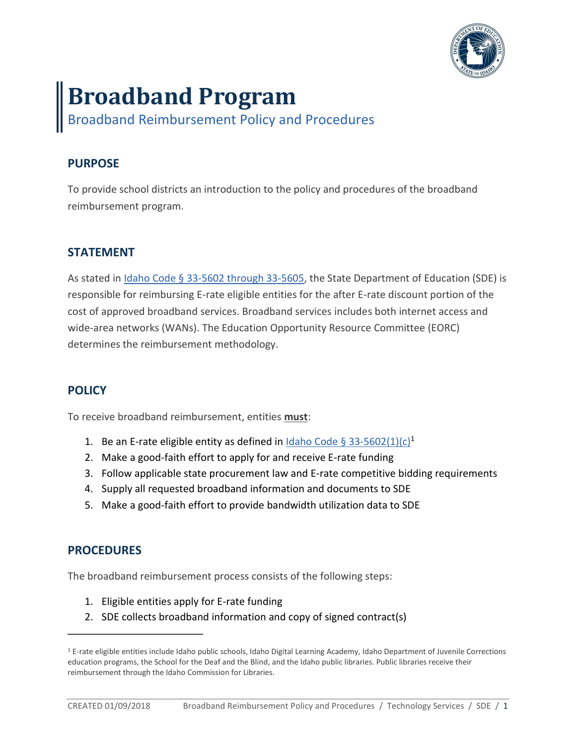

# **Broadband Program**

Broadband Reimbursement Policy and Procedures

# **PURPOSE**

To provide school districts an introduction to the policy and procedures of the broadband reimbursement program.

# **STATEMENT**

As stated in Idaho Code § [33-5602 through 33-5605,](https://legislature.idaho.gov/statutesrules/idstat/Title33/T33CH56/) the State Department of Education (SDE) is responsible for reimbursing E-rate eligible entities for the after E-rate discount portion of the cost of approved broadband services. Broadband services includes both internet access and wide-area networks (WANs). The Education Opportunity Resource Committee (EORC) determines the reimbursement methodology.

## **POLICY**

To receive broadband reimbursement, entities **must**:

- 1. Be an E-rate eligible entity as defined in [Idaho Code §](https://legislature.idaho.gov/statutesrules/idstat/Title33/T33CH56/SECT33-5602/) 33-5602(1)(c)<sup>1</sup>
- 2. Make a good-faith effort to apply for and receive E-rate funding
- 3. Follow applicable state procurement law and E-rate competitive bidding requirements
- 4. Supply all requested broadband information and documents to SDE
- 5. Make a good-faith effort to provide bandwidth utilization data to SDE

#### **PROCEDURES**

 $\overline{a}$ 

The broadband reimbursement process consists of the following steps:

- 1. Eligible entities apply for E-rate funding
- 2. SDE collects broadband information and copy of signed contract(s)

<sup>1</sup> E-rate eligible entities include Idaho public schools, Idaho Digital Learning Academy, Idaho Department of Juvenile Corrections education programs, the School for the Deaf and the Blind, and the Idaho public libraries. Public libraries receive their reimbursement through the Idaho Commission for Libraries.